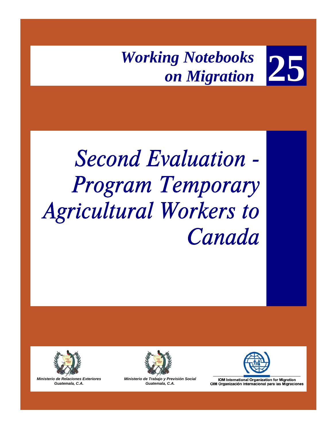

# *Second Evaluation - Program Temporary Agricultural Workers to Canada*



*Ministerio de Relaciones Exteriores Guatemala, C.A.* 



*Ministerio de Trabajo y Previsión Social Guatemala, C.A.* 



**IOM International Organization for Migration** OIM Organización Internacional para las Migraciones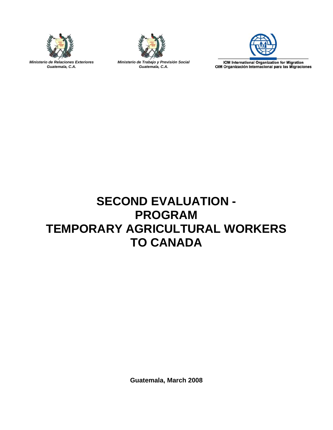

*Ministerio de Relaciones Exteriores Guatemala, C.A.* 



*Ministerio de Trabajo y Previsión Social Guatemala, C.A.* 



IOM International Organization for Migration<br>OIM Organización Internacional para las Migraciones

# **SECOND EVALUATION - PROGRAM TEMPORARY AGRICULTURAL WORKERS TO CANADA**

**Guatemala, March 2008**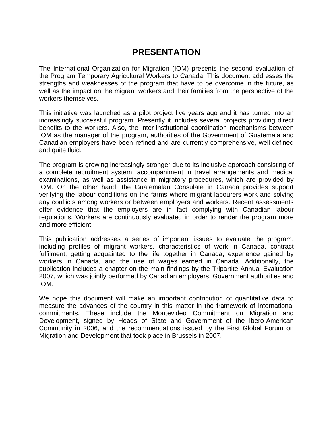# **PRESENTATION**

The International Organization for Migration (IOM) presents the second evaluation of the Program Temporary Agricultural Workers to Canada. This document addresses the strengths and weaknesses of the program that have to be overcome in the future, as well as the impact on the migrant workers and their families from the perspective of the workers themselves.

This initiative was launched as a pilot project five years ago and it has turned into an increasingly successful program. Presently it includes several projects providing direct benefits to the workers. Also, the inter-institutional coordination mechanisms between IOM as the manager of the program, authorities of the Government of Guatemala and Canadian employers have been refined and are currently comprehensive, well-defined and quite fluid.

The program is growing increasingly stronger due to its inclusive approach consisting of a complete recruitment system, accompaniment in travel arrangements and medical examinations, as well as assistance in migratory procedures, which are provided by IOM. On the other hand, the Guatemalan Consulate in Canada provides support verifying the labour conditions on the farms where migrant labourers work and solving any conflicts among workers or between employers and workers. Recent assessments offer evidence that the employers are in fact complying with Canadian labour regulations. Workers are continuously evaluated in order to render the program more and more efficient.

This publication addresses a series of important issues to evaluate the program, including profiles of migrant workers, characteristics of work in Canada, contract fulfilment, getting acquainted to the life together in Canada, experience gained by workers in Canada, and the use of wages earned in Canada. Additionally, the publication includes a chapter on the main findings by the Tripartite Annual Evaluation 2007, which was jointly performed by Canadian employers, Government authorities and IOM.

We hope this document will make an important contribution of quantitative data to measure the advances of the country in this matter in the framework of international commitments. These include the Montevideo Commitment on Migration and Development, signed by Heads of State and Government of the Ibero-American Community in 2006, and the recommendations issued by the First Global Forum on Migration and Development that took place in Brussels in 2007.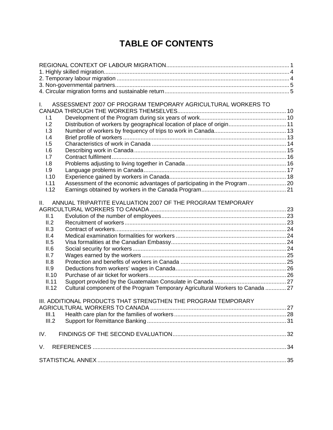# **TABLE OF CONTENTS**

| I.               | ASSESSMENT 2007 OF PROGRAM TEMPORARY AGRICULTURAL WORKERS TO                            |  |
|------------------|-----------------------------------------------------------------------------------------|--|
|                  |                                                                                         |  |
| 1.1              |                                                                                         |  |
| 1.2              | Distribution of workers by geographical location of place of origin 11                  |  |
| 1.3              |                                                                                         |  |
| $\overline{1.4}$ |                                                                                         |  |
| 1.5              |                                                                                         |  |
| 1.6              |                                                                                         |  |
| 1.7              |                                                                                         |  |
| 1.8              |                                                                                         |  |
| 1.9              |                                                                                         |  |
|                  | 1.10                                                                                    |  |
| 1.11             |                                                                                         |  |
|                  | 1.12                                                                                    |  |
|                  |                                                                                         |  |
| $\Pi$ .          | ANNUAL TRIPARTITE EVALUATION 2007 OF THE PROGRAM TEMPORARY                              |  |
|                  |                                                                                         |  |
| II.1             |                                                                                         |  |
| II.2             |                                                                                         |  |
| II.3             |                                                                                         |  |
| II.4             |                                                                                         |  |
| II.5             |                                                                                         |  |
| II.6             |                                                                                         |  |
| II.7             |                                                                                         |  |
| II.8             |                                                                                         |  |
| II.9             |                                                                                         |  |
|                  | II.10                                                                                   |  |
|                  | II.11                                                                                   |  |
|                  | Cultural component of the Program Temporary Agricultural Workers to Canada  27<br>II.12 |  |
|                  |                                                                                         |  |
|                  | III. ADDITIONAL PRODUCTS THAT STRENGTHEN THE PROGRAM TEMPORARY                          |  |
|                  |                                                                                         |  |
|                  | III.1                                                                                   |  |
|                  | III.2                                                                                   |  |
| IV.              |                                                                                         |  |
|                  |                                                                                         |  |
| V.               |                                                                                         |  |
|                  |                                                                                         |  |
|                  |                                                                                         |  |
|                  |                                                                                         |  |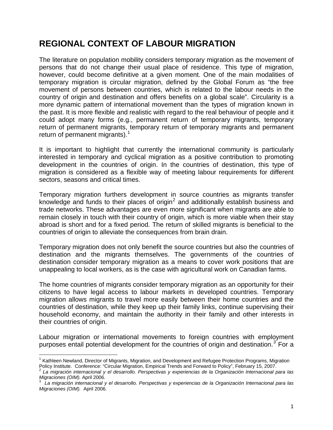# <span id="page-4-0"></span>**REGIONAL CONTEXT OF LABOUR MIGRATION**

The literature on population mobility considers temporary migration as the movement of persons that do not change their usual place of residence. This type of migration, however, could become definitive at a given moment. One of the main modalities of temporary migration is circular migration, defined by the Global Forum as "the free movement of persons between countries, which is related to the labour needs in the country of origin and destination and offers benefits on a global scale". Circularity is a more dynamic pattern of international movement than the types of migration known in the past. It is more flexible and realistic with regard to the real behaviour of people and it could adopt many forms (e.g., permanent return of temporary migrants, temporary return of permanent migrants, temporary return of temporary migrants and permanent return of permanent migrants).<sup>[1](#page-4-1)</sup>

It is important to highlight that currently the international community is particularly interested in temporary and cyclical migration as a positive contribution to promoting development in the countries of origin. In the countries of destination, this type of migration is considered as a flexible way of meeting labour requirements for different sectors, seasons and critical times.

Temporary migration furthers development in source countries as migrants transfer knowledge and funds to their places of origin<sup>[2](#page-4-2)</sup> and additionally establish business and trade networks. These advantages are even more significant when migrants are able to remain closely in touch with their country of origin, which is more viable when their stay abroad is short and for a fixed period. The return of skilled migrants is beneficial to the countries of origin to alleviate the consequences from brain drain.

Temporary migration does not only benefit the source countries but also the countries of destination and the migrants themselves. The governments of the countries of destination consider temporary migration as a means to cover work positions that are unappealing to local workers, as is the case with agricultural work on Canadian farms.

The home countries of migrants consider temporary migration as an opportunity for their citizens to have legal access to labour markets in developed countries. Temporary migration allows migrants to travel more easily between their home countries and the countries of destination, while they keep up their family links, continue supervising their household economy, and maintain the authority in their family and other interests in their countries of origin.

Labour migration or international movements to foreign countries with employment purposes entail potential development for the countries of origin and destination.<sup>[3](#page-4-3)</sup> For a

 $\overline{a}$ <sup>1</sup> Kathleen Newland, Director of Migrants, Migration, and Development and Refugee Protection Programs, Migration

<span id="page-4-2"></span><span id="page-4-1"></span>Policy Institute. Conference: "Circular Migration, Empirical Trends and Forward to Policy", February 15, 2007.<br><sup>2</sup> La migración internacional y el desarrollo. Perspectivas y experiencias de la Organización Internacional pa *Migraciones (OIM).* April 2006.

<span id="page-4-3"></span>*La migración internacional y el desarrollo. Perspectivas y experiencias de la Organización Internacional para las Migraciones (OIM).* April 2006.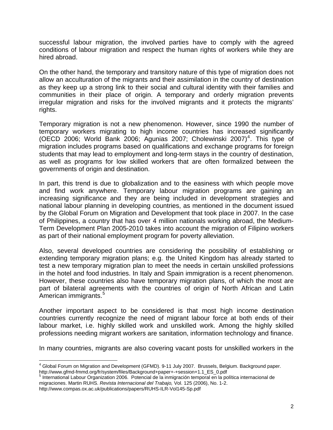successful labour migration, the involved parties have to comply with the agreed conditions of labour migration and respect the human rights of workers while they are hired abroad.

On the other hand, the temporary and transitory nature of this type of migration does not allow an acculturation of the migrants and their assimilation in the country of destination as they keep up a strong link to their social and cultural identity with their families and communities in their place of origin. A temporary and orderly migration prevents irregular migration and risks for the involved migrants and it protects the migrants' rights.

Temporary migration is not a new phenomenon. However, since 1990 the number of temporary workers migrating to high income countries has increased significantly (OECD 2006; World Bank 2006; Agunias 2007; Cholewinski 2007)<sup>[4](#page-5-0)</sup>. This type of migration includes programs based on qualifications and exchange programs for foreign students that may lead to employment and long-term stays in the country of destination, as well as programs for low skilled workers that are often formalized between the governments of origin and destination.

In part, this trend is due to globalization and to the easiness with which people move and find work anywhere. Temporary labour migration programs are gaining an increasing significance and they are being included in development strategies and national labour planning in developing countries, as mentioned in the document issued by the Global Forum on Migration and Development that took place in 2007. In the case of Philippines, a country that has over 4 million nationals working abroad, the Medium-Term Development Plan 2005-2010 takes into account the migration of Filipino workers as part of their national employment program for poverty alleviation.

Also, several developed countries are considering the possibility of establishing or extending temporary migration plans; e.g. the United Kingdom has already started to test a new temporary migration plan to meet the needs in certain unskilled professions in the hotel and food industries. In Italy and Spain immigration is a recent phenomenon. However, these countries also have temporary migration plans, of which the most are part of bilateral agreements with the countries of origin of North African and Latin American immigrants.<sup>[5](#page-5-1)</sup>

Another important aspect to be considered is that most high income destination countries currently recognize the need of migrant labour force at both ends of their labour market, i.e. highly skilled work and unskilled work. Among the highly skilled professions needing migrant workers are sanitation, information technology and finance.

In many countries, migrants are also covering vacant posts for unskilled workers in the

 $\overline{a}$ 

<span id="page-5-0"></span><sup>&</sup>lt;sup>4</sup> Global Forum on Migration and Development (GFMD). 9-11 July 2007. Brussels, Belgium. Background paper. http://www.gfmd-fmmd.org/fr/system/files/Background+paper+-+session+1.1\_ES\_0.pdf<br><sup>5</sup> International Labour Organization 2006. Potencial de la inmigración temporal en la política internacional de

<span id="page-5-1"></span>migraciones. Martin RUHS. *Revista Internacional del Trabajo,* Vol. 125 (2006), No. 1-2.

http://www.compas.ox.ac.uk/publications/papers/RUHS-ILR-Vol145-Sp.pdf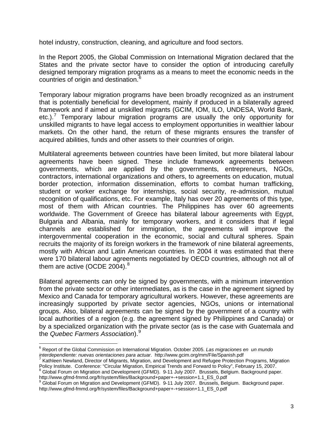hotel industry, construction, cleaning, and agriculture and food sectors.

In the Report 2005, the Global Commission on International Migration declared that the States and the private sector have to consider the option of introducing carefully designed temporary migration programs as a means to meet the economic needs in the countries of origin and destination.<sup>[6](#page-6-0)</sup>

Temporary labour migration programs have been broadly recognized as an instrument that is potentially beneficial for development, mainly if produced in a bilaterally agreed framework and if aimed at unskilled migrants (GCIM, IOM, ILO, UNDESA, World Bank, etc.).<sup>[7](#page-6-1)</sup> Temporary labour migration programs are usually the only opportunity for unskilled migrants to have legal access to employment opportunities in wealthier labour markets. On the other hand, the return of these migrants ensures the transfer of acquired abilities, funds and other assets to their countries of origin.

Multilateral agreements between countries have been limited, but more bilateral labour agreements have been signed. These include framework agreements between governments, which are applied by the governments, entrepreneurs, NGOs, contractors, international organizations and others, to agreements on education, mutual border protection, information dissemination, efforts to combat human trafficking, student or worker exchange for internships, social security, re-admission, mutual recognition of qualifications, etc. For example, Italy has over 20 agreements of this type, most of them with African countries. The Philippines has over 60 agreements worldwide. The Government of Greece has bilateral labour agreements with Egypt, Bulgaria and Albania, mainly for temporary workers, and it considers that if legal channels are established for immigration, the agreements will improve the intergovernmental cooperation in the economic, social and cultural spheres. Spain recruits the majority of its foreign workers in the framework of nine bilateral agreements, mostly with African and Latin American countries. In 2004 it was estimated that there were 170 bilateral labour agreements negotiated by OECD countries, although not all of them are active (OCDE 2004). $8$ 

Bilateral agreements can only be signed by governments, with a minimum intervention from the private sector or other intermediates, as is the case in the agreement signed by Mexico and Canada for temporary agricultural workers. However, these agreements are increasingly supported by private sector agencies, NGOs, unions or international groups. Also, bilateral agreements can be signed by the government of a country with local authorities of a region (e.g. the agreement signed by Philippines and Canada) or by a specialized organization with the private sector (as is the case with Guatemala and the *Quebec Farmers Association*).[9](#page-6-3)

<span id="page-6-2"></span> $8$  Global Forum on Migration and Development (GFMD). 9-11 July 2007. Brussels, Belgium. Background paper.<br>http://www.gfmd-fmmd.org/fr/system/files/Background+paper+-+session+1.1 ES 0.pdf

<span id="page-6-0"></span> 6 Report of the Global Commission on International Migration. October 2005. *Las migraciones en un mundo interdependiente: nuevas orientaciones para actuar*. http://www.gcim.org/mm/File/Spanish.pdf <sup>7</sup>

<span id="page-6-1"></span> $7$  Kathleen Newland, Director of Migrants, Migration, and Development and Refugee Protection Programs, Migration Policy Institute. Conference: "Circular Migration, Empirical Trends and Forward to Policy", February 15, 2007.

<span id="page-6-3"></span>http://www.gfmd-fmmd.org/fr/system/files/Background+paper+-+session+1.1\_ES\_0.pdf<br><sup>9</sup> Global Forum on Migration and Development (GFMD). 9-11 July 2007. Brussels, Belgium. Background paper. http://www.gfmd-fmmd.org/fr/system/files/Background+paper+-+session+1.1\_ES\_0.pdf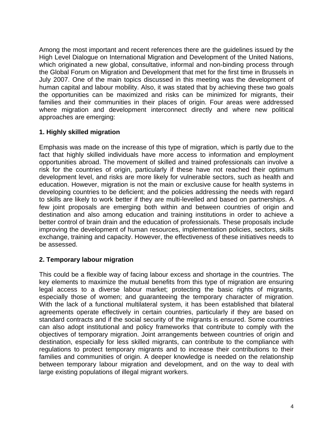<span id="page-7-0"></span>Among the most important and recent references there are the guidelines issued by the High Level Dialogue on International Migration and Development of the United Nations, which originated a new global, consultative, informal and non-binding process through the Global Forum on Migration and Development that met for the first time in Brussels in July 2007. One of the main topics discussed in this meeting was the development of human capital and labour mobility. Also, it was stated that by achieving these two goals the opportunities can be maximized and risks can be minimized for migrants, their families and their communities in their places of origin. Four areas were addressed where migration and development interconnect directly and where new political approaches are emerging:

### **1. Highly skilled migration**

Emphasis was made on the increase of this type of migration, which is partly due to the fact that highly skilled individuals have more access to information and employment opportunities abroad. The movement of skilled and trained professionals can involve a risk for the countries of origin, particularly if these have not reached their optimum development level, and risks are more likely for vulnerable sectors, such as health and education. However, migration is not the main or exclusive cause for health systems in developing countries to be deficient; and the policies addressing the needs with regard to skills are likely to work better if they are multi-levelled and based on partnerships. A few joint proposals are emerging both within and between countries of origin and destination and also among education and training institutions in order to achieve a better control of brain drain and the education of professionals. These proposals include improving the development of human resources, implementation policies, sectors, skills exchange, training and capacity. However, the effectiveness of these initiatives needs to be assessed.

## **2. Temporary labour migration**

This could be a flexible way of facing labour excess and shortage in the countries. The key elements to maximize the mutual benefits from this type of migration are ensuring legal access to a diverse labour market; protecting the basic rights of migrants, especially those of women; and guaranteeing the temporary character of migration. With the lack of a functional multilateral system, it has been established that bilateral agreements operate effectively in certain countries, particularly if they are based on standard contracts and if the social security of the migrants is ensured. Some countries can also adopt institutional and policy frameworks that contribute to comply with the objectives of temporary migration. Joint arrangements between countries of origin and destination, especially for less skilled migrants, can contribute to the compliance with regulations to protect temporary migrants and to increase their contributions to their families and communities of origin. A deeper knowledge is needed on the relationship between temporary labour migration and development, and on the way to deal with large existing populations of illegal migrant workers.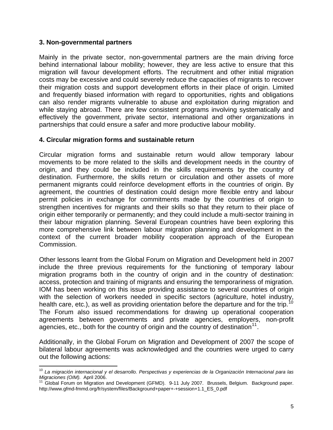#### <span id="page-8-0"></span>**3. Non-governmental partners**

 $\overline{a}$ 

Mainly in the private sector, non-governmental partners are the main driving force behind international labour mobility; however, they are less active to ensure that this migration will favour development efforts. The recruitment and other initial migration costs may be excessive and could severely reduce the capacities of migrants to recover their migration costs and support development efforts in their place of origin. Limited and frequently biased information with regard to opportunities, rights and obligations can also render migrants vulnerable to abuse and exploitation during migration and while staying abroad. There are few consistent programs involving systematically and effectively the government, private sector, international and other organizations in partnerships that could ensure a safer and more productive labour mobility.

#### **4. Circular migration forms and sustainable return**

Circular migration forms and sustainable return would allow temporary labour movements to be more related to the skills and development needs in the country of origin, and they could be included in the skills requirements by the country of destination. Furthermore, the skills return or circulation and other assets of more permanent migrants could reinforce development efforts in the countries of origin. By agreement, the countries of destination could design more flexible entry and labour permit policies in exchange for commitments made by the countries of origin to strengthen incentives for migrants and their skills so that they return to their place of origin either temporarily or permanently; and they could include a multi-sector training in their labour migration planning. Several European countries have been exploring this more comprehensive link between labour migration planning and development in the context of the current broader mobility cooperation approach of the European Commission.

Other lessons learnt from the Global Forum on Migration and Development held in 2007 include the three previous requirements for the functioning of temporary labour migration programs both in the country of origin and in the country of destination: access, protection and training of migrants and ensuring the temporariness of migration. IOM has been working on this issue providing assistance to several countries of origin with the selection of workers needed in specific sectors (agriculture, hotel industry, health care, etc.), as well as providing orientation before the departure and for the trip.<sup>1</sup> The Forum also issued recommendations for drawing up operational cooperation agreements between governments and private agencies, employers, non-profit agencies, etc., both for the country of origin and the country of destination<sup>[11](#page-8-2)</sup>.

Additionally, in the Global Forum on Migration and Development of 2007 the scope of bilateral labour agreements was acknowledged and the countries were urged to carry out the following actions:

<span id="page-8-1"></span><sup>10</sup> *La migración internacional y el desarrollo. Perspectivas y experiencias de la Organización Internacional para las*  Late magnes (OIM). April 2006.<br>*11 Global Forum on Migration and Development* (GFMD). 9-11 July 2007. Brussels, Belgium. Background paper.

<span id="page-8-2"></span>http://www.gfmd-fmmd.org/fr/system/files/Background+paper+-+session+1.1\_ES\_0.pdf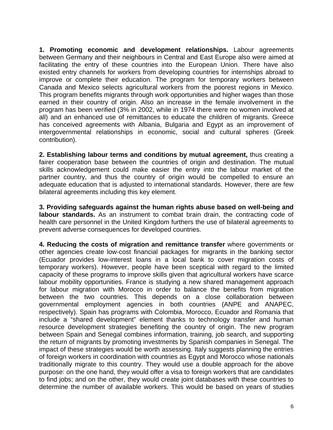**1. Promoting economic and development relationships.** Labour agreements between Germany and their neighbours in Central and East Europe also were aimed at facilitating the entry of these countries into the European Union. There have also existed entry channels for workers from developing countries for internships abroad to improve or complete their education. The program for temporary workers between Canada and Mexico selects agricultural workers from the poorest regions in Mexico. This program benefits migrants through work opportunities and higher wages than those earned in their country of origin. Also an increase in the female involvement in the program has been verified (3% in 2002, while in 1974 there were no women involved at all) and an enhanced use of remittances to educate the children of migrants. Greece has conceived agreements with Albania, Bulgaria and Egypt as an improvement of intergovernmental relationships in economic, social and cultural spheres (Greek contribution).

**2. Establishing labour terms and conditions by mutual agreement,** thus creating a fairer cooperation base between the countries of origin and destination. The mutual skills acknowledgement could make easier the entry into the labour market of the partner country, and thus the country of origin would be compelled to ensure an adequate education that is adjusted to international standards. However, there are few bilateral agreements including this key element.

**3. Providing safeguards against the human rights abuse based on well-being and labour standards.** As an instrument to combat brain drain, the contracting code of health care personnel in the United Kingdom furthers the use of bilateral agreements to prevent adverse consequences for developed countries.

**4. Reducing the costs of migration and remittance transfer** where governments or other agencies create low-cost financial packages for migrants in the banking sector (Ecuador provides low-interest loans in a local bank to cover migration costs of temporary workers). However, people have been sceptical with regard to the limited capacity of these programs to improve skills given that agricultural workers have scarce labour mobility opportunities. France is studying a new shared management approach for labour migration with Morocco in order to balance the benefits from migration between the two countries. This depends on a close collaboration between governmental employment agencies in both countries (ANPE and ANAPEC, respectively). Spain has programs with Colombia, Morocco, Ecuador and Romania that include a "shared development" element thanks to technology transfer and human resource development strategies benefiting the country of origin. The new program between Spain and Senegal combines information, training, job search, and supporting the return of migrants by promoting investments by Spanish companies in Senegal. The impact of these strategies would be worth assessing. Italy suggests planning the entries of foreign workers in coordination with countries as Egypt and Morocco whose nationals traditionally migrate to this country. They would use a double approach for the above purpose: on the one hand, they would offer a visa to foreign workers that are candidates to find jobs; and on the other, they would create joint databases with these countries to determine the number of available workers. This would be based on years of studies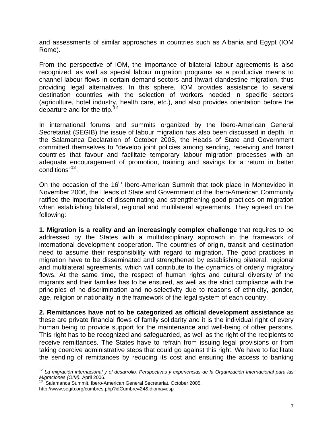and assessments of similar approaches in countries such as Albania and Egypt (IOM Rome).

From the perspective of IOM, the importance of bilateral labour agreements is also recognized, as well as special labour migration programs as a productive means to channel labour flows in certain demand sectors and thwart clandestine migration, thus providing legal alternatives. In this sphere, IOM provides assistance to several destination countries with the selection of workers needed in specific sectors (agriculture, hotel industry, health care, etc.), and also provides orientation before the departure and for the trip.<sup>[12](#page-10-0)</sup>

In international forums and summits organized by the Ibero-American General Secretariat (SEGIB) the issue of labour migration has also been discussed in depth. In the Salamanca Declaration of October 2005, the Heads of State and Government committed themselves to "develop joint policies among sending, receiving and transit countries that favour and facilitate temporary labour migration processes with an adequate encouragement of promotion, training and savings for a return in better conditions"[13](#page-10-1).

On the occasion of the 16<sup>th</sup> Ibero-American Summit that took place in Montevideo in November 2006, the Heads of State and Government of the Ibero-American Community ratified the importance of disseminating and strengthening good practices on migration when establishing bilateral, regional and multilateral agreements. They agreed on the following:

**1. Migration is a reality and an increasingly complex challenge** that requires to be addressed by the States with a multidisciplinary approach in the framework of international development cooperation. The countries of origin, transit and destination need to assume their responsibility with regard to migration. The good practices in migration have to be disseminated and strengthened by establishing bilateral, regional and multilateral agreements, which will contribute to the dynamics of orderly migratory flows. At the same time, the respect of human rights and cultural diversity of the migrants and their families has to be ensured, as well as the strict compliance with the principles of no-discrimination and no-selectivity due to reasons of ethnicity, gender, age, religion or nationality in the framework of the legal system of each country.

**2. Remittances have not to be categorized as official development assistance** as these are private financial flows of family solidarity and it is the individual right of every human being to provide support for the maintenance and well-being of other persons. This right has to be recognized and safeguarded, as well as the right of the recipients to receive remittances. The States have to refrain from issuing legal provisions or from taking coercive administrative steps that could go against this right. We have to facilitate the sending of remittances by reducing its cost and ensuring the access to banking

 $\overline{a}$ 

<span id="page-10-0"></span><sup>&</sup>lt;sup>12</sup> La migración internacional y el desarrollo. Perspectivas y experiencias de la Organización Internacional para las *Migraciones (OIM).* April 2006. 13 Salamanca Summit. Ibero-American General Secretariat. October 2005.

<span id="page-10-1"></span>http://www.segib.org/cumbres.php?idCumbre=24&idioma=esp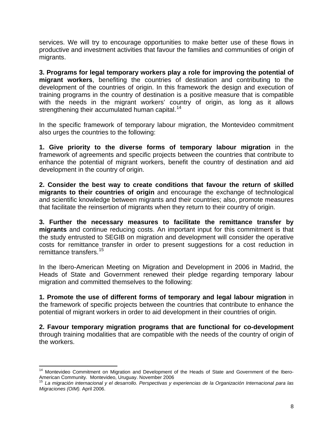services. We will try to encourage opportunities to make better use of these flows in productive and investment activities that favour the families and communities of origin of migrants.

**3. Programs for legal temporary workers play a role for improving the potential of migrant workers**, benefiting the countries of destination and contributing to the development of the countries of origin. In this framework the design and execution of training programs in the country of destination is a positive measure that is compatible with the needs in the migrant workers' country of origin, as long as it allows strengthening their accumulated human capital.<sup>[14](#page-11-0)</sup>

In the specific framework of temporary labour migration, the Montevideo commitment also urges the countries to the following:

**1. Give priority to the diverse forms of temporary labour migration** in the framework of agreements and specific projects between the countries that contribute to enhance the potential of migrant workers, benefit the country of destination and aid development in the country of origin.

**2. Consider the best way to create conditions that favour the return of skilled migrants to their countries of origin** and encourage the exchange of technological and scientific knowledge between migrants and their countries; also, promote measures that facilitate the reinsertion of migrants when they return to their country of origin.

**3. Further the necessary measures to facilitate the remittance transfer by migrants** and continue reducing costs. An important input for this commitment is that the study entrusted to SEGIB on migration and development will consider the operative costs for remittance transfer in order to present suggestions for a cost reduction in remittance transfers.<sup>[15](#page-11-1)</sup>

In the Ibero-American Meeting on Migration and Development in 2006 in Madrid, the Heads of State and Government renewed their pledge regarding temporary labour migration and committed themselves to the following:

**1. Promote the use of different forms of temporary and legal labour migration** in the framework of specific projects between the countries that contribute to enhance the potential of migrant workers in order to aid development in their countries of origin.

**2. Favour temporary migration programs that are functional for co-development** through training modalities that are compatible with the needs of the country of origin of the workers.

 $\overline{a}$ 

<span id="page-11-0"></span><sup>&</sup>lt;sup>14</sup> Montevideo Commitment on Migration and Development of the Heads of State and Government of the Ibero-American Community. Montevideo, Uruguay. November 2006<br><sup>15</sup> La migración internacional y el deserville. Perspectives y y

<span id="page-11-1"></span><sup>15</sup> *La migración internacional y el desarrollo. Perspectivas y experiencias de la Organización Internacional para las Migraciones (OIM).* April 2006.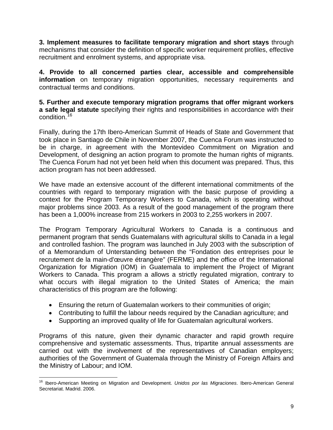**3. Implement measures to facilitate temporary migration and short stays** through mechanisms that consider the definition of specific worker requirement profiles, effective recruitment and enrolment systems, and appropriate visa.

**4. Provide to all concerned parties clear, accessible and comprehensible information** on temporary migration opportunities, necessary requirements and contractual terms and conditions.

**5. Further and execute temporary migration programs that offer migrant workers a safe legal statute** specifying their rights and responsibilities in accordance with their condition.<sup>[16](#page-12-0)</sup>

Finally, during the 17th Ibero-American Summit of Heads of State and Government that took place in Santiago de Chile in November 2007, the Cuenca Forum was instructed to be in charge, in agreement with the Montevideo Commitment on Migration and Development, of designing an action program to promote the human rights of migrants. The Cuenca Forum had not yet been held when this document was prepared. Thus, this action program has not been addressed.

We have made an extensive account of the different international commitments of the countries with regard to temporary migration with the basic purpose of providing a context for the Program Temporary Workers to Canada, which is operating without major problems since 2003. As a result of the good management of the program there has been a 1,000% increase from 215 workers in 2003 to 2,255 workers in 2007.

The Program Temporary Agricultural Workers to Canada is a continuous and permanent program that sends Guatemalans with agricultural skills to Canada in a legal and controlled fashion. The program was launched in July 2003 with the subscription of of a Memorandum of Unterstanding between the "Fondation des entreprises pour le recrutement de la main-d'œuvre étrangère" (FERME) and the office of the International Organization for Migration (IOM) in Guatemala to implement the Project of Migrant Workers to Canada. This program a allows a strictly regulated migration, contrary to what occurs with illegal migration to the United States of America; the main characteristics of this program are the following:

- Ensuring the return of Guatemalan workers to their communities of origin;
- Contributing to fulfill the labour needs required by the Canadian agriculture; and
- Supporting an improved quality of life for Guatemalan agricultural workers.

Programs of this nature, given their dynamic character and rapid growth require comprehensive and systematic assessments. Thus, tripartite annual assessments are carried out with the involvement of the representatives of Canadian employers; authorities of the Government of Guatemala through the Ministry of Foreign Affairs and the Ministry of Labour; and IOM.

<span id="page-12-0"></span> $\overline{1}$ 16 Ibero-American Meeting on Migration and Development. *Unidos por las Migraciones*. Ibero-American General Secretariat. Madrid. 2006.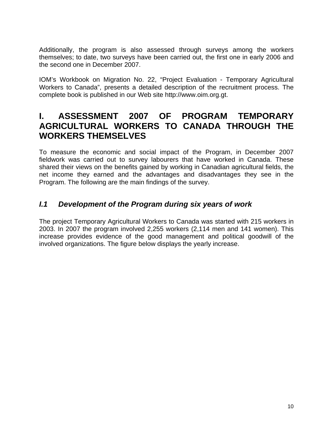<span id="page-13-0"></span>Additionally, the program is also assessed through surveys among the workers themselves; to date, two surveys have been carried out, the first one in early 2006 and the second one in December 2007.

IOM's Workbook on Migration No. 22, "Project Evaluation - Temporary Agricultural Workers to Canada", presents a detailed description of the recruitment process. The complete book is published in our Web site http://www.oim.org.gt.

## **I. ASSESSMENT 2007 OF PROGRAM TEMPORARY AGRICULTURAL WORKERS TO CANADA THROUGH THE WORKERS THEMSELVES**

To measure the economic and social impact of the Program, in December 2007 fieldwork was carried out to survey labourers that have worked in Canada. These shared their views on the benefits gained by working in Canadian agricultural fields, the net income they earned and the advantages and disadvantages they see in the Program. The following are the main findings of the survey.

## *I.1 Development of the Program during six years of work*

The project Temporary Agricultural Workers to Canada was started with 215 workers in 2003. In 2007 the program involved 2,255 workers (2,114 men and 141 women). This increase provides evidence of the good management and political goodwill of the involved organizations. The figure below displays the yearly increase.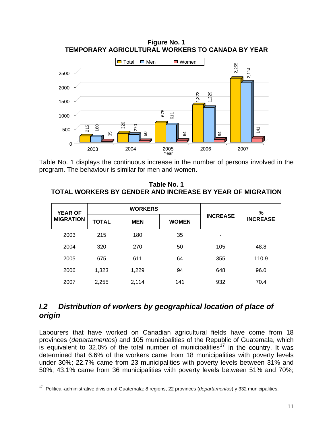

<span id="page-14-0"></span>**Figure No. 1 TEMPORARY AGRICULTURAL WORKERS TO CANADA BY YEAR** 

Table No. 1 displays the continuous increase in the number of persons involved in the program. The behaviour is similar for men and women.

**Table No. 1 TOTAL WORKERS BY GENDER AND INCREASE BY YEAR OF MIGRATION** 

| <b>YEAR OF</b>   |              | <b>WORKERS</b> |              |                 | %               |
|------------------|--------------|----------------|--------------|-----------------|-----------------|
| <b>MIGRATION</b> | <b>TOTAL</b> | <b>MEN</b>     | <b>WOMEN</b> | <b>INCREASE</b> | <b>INCREASE</b> |
| 2003             | 215          | 180            | 35           | ۰               |                 |
| 2004             | 320          | 270            | 50           | 105             | 48.8            |
| 2005             | 675          | 611            | 64           | 355             | 110.9           |
| 2006             | 1,323        | 1,229          | 94           | 648             | 96.0            |
| 2007             | 2,255        | 2,114          | 141          | 932             | 70.4            |

## *I.2 Distribution of workers by geographical location of place of origin*

Labourers that have worked on Canadian agricultural fields have come from 18 provinces (*departamentos*) and 105 municipalities of the Republic of Guatemala, which is equivalent to 32.0% of the total number of municipalities<sup>[17](#page-14-1)</sup> in the country. It was determined that 6.6% of the workers came from 18 municipalities with poverty levels under 30%; 22.7% came from 23 municipalities with poverty levels between 31% and 50%; 43.1% came from 36 municipalities with poverty levels between 51% and 70%;

<span id="page-14-1"></span> $\overline{a}$ 17 Political-administrative division of Guatemala: 8 regions, 22 provinces (*departamentos*) y 332 municipalities.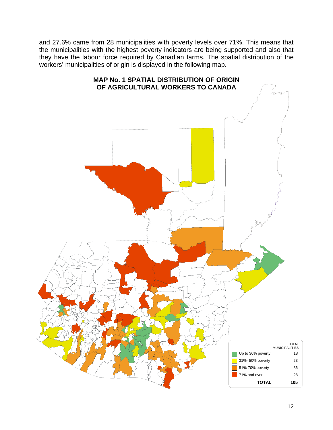and 27.6% came from 28 municipalities with poverty levels over 71%. This means that the municipalities with the highest poverty indicators are being supported and also that they have the labour force required by Canadian farms. The spatial distribution of the workers' municipalities of origin is displayed in the following map.

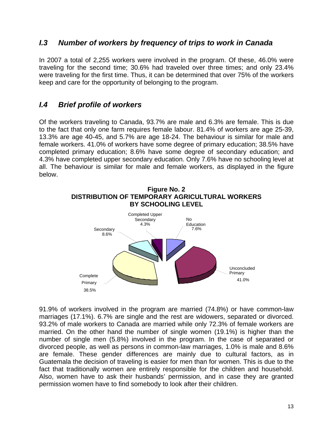## <span id="page-16-0"></span>*I.3 Number of workers by frequency of trips to work in Canada*

In 2007 a total of 2,255 workers were involved in the program. Of these, 46.0% were traveling for the second time; 30.6% had traveled over three times; and only 23.4% were traveling for the first time. Thus, it can be determined that over 75% of the workers keep and care for the opportunity of belonging to the program.

## *I.4 Brief profile of workers*

Of the workers traveling to Canada, 93.7% are male and 6.3% are female. This is due to the fact that only one farm requires female labour. 81.4% of workers are age 25-39, 13.3% are age 40-45, and 5.7% are age 18-24. The behaviour is similar for male and female workers. 41.0% of workers have some degree of primary education; 38.5% have completed primary education; 8.6% have some degree of secondary education; and 4.3% have completed upper secondary education. Only 7.6% have no schooling level at all. The behaviour is similar for male and female workers, as displayed in the figure below.



91.9% of workers involved in the program are married (74.8%) or have common-law marriages (17.1%). 6.7% are single and the rest are widowers, separated or divorced. 93.2% of male workers to Canada are married while only 72.3% of female workers are married. On the other hand the number of single women (19.1%) is higher than the number of single men (5.8%) involved in the program. In the case of separated or divorced people, as well as persons in common-law marriages, 1.0% is male and 8.6% are female. These gender differences are mainly due to cultural factors, as in Guatemala the decision of traveling is easier for men than for women. This is due to the fact that traditionally women are entirely responsible for the children and household. Also, women have to ask their husbands' permission, and in case they are granted permission women have to find somebody to look after their children.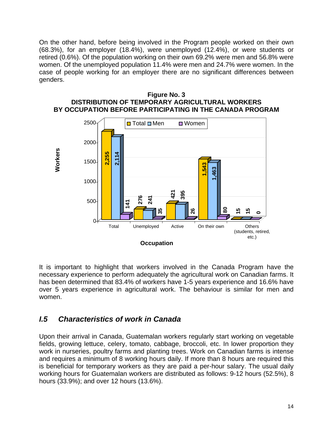<span id="page-17-0"></span>On the other hand, before being involved in the Program people worked on their own (68.3%), for an employer (18.4%), were unemployed (12.4%), or were students or retired (0.6%). Of the population working on their own 69.2% were men and 56.8% were women. Of the unemployed population 11.4% were men and 24.7% were women. In the case of people working for an employer there are no significant differences between genders.



**Figure No. 3 DISTRIBUTION OF TEMPORARY AGRICULTURAL WORKERS BY OCCUPATION BEFORE PARTICIPATING IN THE CANADA PROGRAM** 

It is important to highlight that workers involved in the Canada Program have the necessary experience to perform adequately the agricultural work on Canadian farms. It has been determined that 83.4% of workers have 1-5 years experience and 16.6% have over 5 years experience in agricultural work. The behaviour is similar for men and women.

## *I.5 Characteristics of work in Canada*

Upon their arrival in Canada, Guatemalan workers regularly start working on vegetable fields, growing lettuce, celery, tomato, cabbage, broccoli, etc. In lower proportion they work in nurseries, poultry farms and planting trees. Work on Canadian farms is intense and requires a minimum of 8 working hours daily. If more than 8 hours are required this is beneficial for temporary workers as they are paid a per-hour salary. The usual daily working hours for Guatemalan workers are distributed as follows: 9-12 hours (52.5%), 8 hours (33.9%); and over 12 hours (13.6%).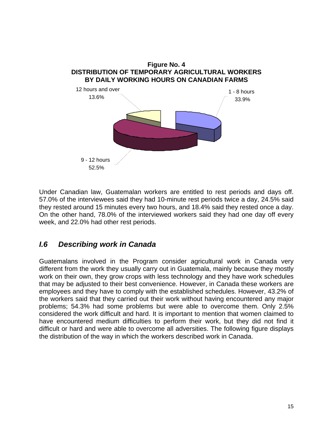<span id="page-18-0"></span>

Under Canadian law, Guatemalan workers are entitled to rest periods and days off. 57.0% of the interviewees said they had 10-minute rest periods twice a day, 24.5% said they rested around 15 minutes every two hours, and 18.4% said they rested once a day. On the other hand, 78.0% of the interviewed workers said they had one day off every week, and 22.0% had other rest periods.

## *I.6 Describing work in Canada*

Guatemalans involved in the Program consider agricultural work in Canada very different from the work they usually carry out in Guatemala, mainly because they mostly work on their own, they grow crops with less technology and they have work schedules that may be adjusted to their best convenience. However, in Canada these workers are employees and they have to comply with the established schedules. However, 43.2% of the workers said that they carried out their work without having encountered any major problems; 54.3% had some problems but were able to overcome them. Only 2.5% considered the work difficult and hard. It is important to mention that women claimed to have encountered medium difficulties to perform their work, but they did not find it difficult or hard and were able to overcome all adversities. The following figure displays the distribution of the way in which the workers described work in Canada.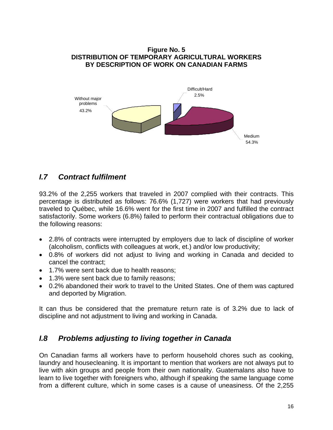#### <span id="page-19-0"></span>**Figure No. 5 DISTRIBUTION OF TEMPORARY AGRICULTURAL WORKERS BY DESCRIPTION OF WORK ON CANADIAN FARMS**



## *I.7 Contract fulfilment*

93.2% of the 2,255 workers that traveled in 2007 complied with their contracts. This percentage is distributed as follows: 76.6% (1,727) were workers that had previously traveled to Québec, while 16.6% went for the first time in 2007 and fulfilled the contract satisfactorily. Some workers (6.8%) failed to perform their contractual obligations due to the following reasons:

- 2.8% of contracts were interrupted by employers due to lack of discipline of worker (alcoholism, conflicts with colleagues at work, et.) and/or low productivity;
- 0.8% of workers did not adjust to living and working in Canada and decided to cancel the contract;
- 1.7% were sent back due to health reasons;
- 1.3% were sent back due to family reasons;
- 0.2% abandoned their work to travel to the United States. One of them was captured and deported by Migration.

It can thus be considered that the premature return rate is of 3.2% due to lack of discipline and not adjustment to living and working in Canada.

## *I.8 Problems adjusting to living together in Canada*

On Canadian farms all workers have to perform household chores such as cooking, laundry and housecleaning. It is important to mention that workers are not always put to live with akin groups and people from their own nationality. Guatemalans also have to learn to live together with foreigners who, although if speaking the same language come from a different culture, which in some cases is a cause of uneasiness. Of the 2,255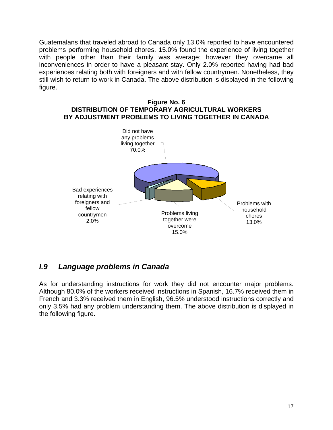<span id="page-20-0"></span>Guatemalans that traveled abroad to Canada only 13.0% reported to have encountered problems performing household chores. 15.0% found the experience of living together with people other than their family was average; however they overcame all inconveniences in order to have a pleasant stay. Only 2.0% reported having had bad experiences relating both with foreigners and with fellow countrymen. Nonetheless, they still wish to return to work in Canada. The above distribution is displayed in the following figure.





## *I.9 Language problems in Canada*

As for understanding instructions for work they did not encounter major problems. Although 80.0% of the workers received instructions in Spanish, 16.7% received them in French and 3.3% received them in English, 96.5% understood instructions correctly and only 3.5% had any problem understanding them. The above distribution is displayed in the following figure.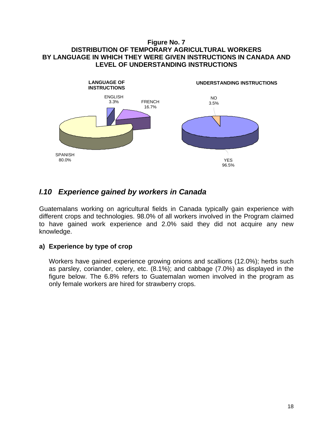#### <span id="page-21-0"></span>**Figure No. 7 DISTRIBUTION OF TEMPORARY AGRICULTURAL WORKERS BY LANGUAGE IN WHICH THEY WERE GIVEN INSTRUCTIONS IN CANADA AND LEVEL OF UNDERSTANDING INSTRUCTIONS**



## *I.10 Experience gained by workers in Canada*

Guatemalans working on agricultural fields in Canada typically gain experience with different crops and technologies. 98.0% of all workers involved in the Program claimed to have gained work experience and 2.0% said they did not acquire any new knowledge.

### **a) Experience by type of crop**

Workers have gained experience growing onions and scallions (12.0%); herbs such as parsley, coriander, celery, etc. (8.1%); and cabbage (7.0%) as displayed in the figure below. The 6.8% refers to Guatemalan women involved in the program as only female workers are hired for strawberry crops.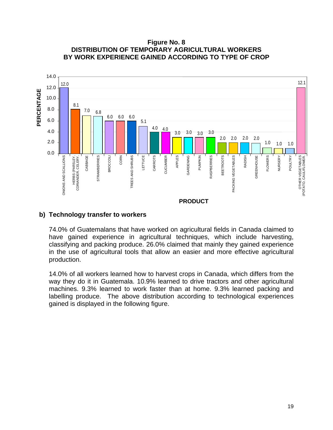**Figure No. 8 DISTRIBUTION OF TEMPORARY AGRICULTURAL WORKERS BY WORK EXPERIENCE GAINED ACCORDING TO TYPE OF CROP** 



#### **b) Technology transfer to workers**

74.0% of Guatemalans that have worked on agricultural fields in Canada claimed to have gained experience in agricultural techniques, which include harvesting, classifying and packing produce. 26.0% claimed that mainly they gained experience in the use of agricultural tools that allow an easier and more effective agricultural production.

14.0% of all workers learned how to harvest crops in Canada, which differs from the way they do it in Guatemala. 10.9% learned to drive tractors and other agricultural machines. 9.3% learned to work faster than at home. 9.3% learned packing and labelling produce. The above distribution according to technological experiences gained is displayed in the following figure.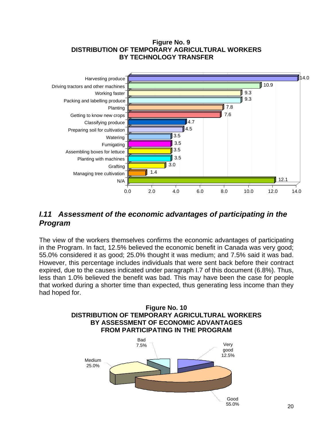#### **Figure No. 9 DISTRIBUTION OF TEMPORARY AGRICULTURAL WORKERS BY TECHNOLOGY TRANSFER**

<span id="page-23-0"></span>

## *I.11 Assessment of the economic advantages of participating in the Program*

The view of the workers themselves confirms the economic advantages of participating in the Program. In fact, 12.5% believed the economic benefit in Canada was very good; 55.0% considered it as good; 25.0% thought it was medium; and 7.5% said it was bad. However, this percentage includes individuals that were sent back before their contract expired, due to the causes indicated under paragraph I.7 of this document (6.8%). Thus, less than 1.0% believed the benefit was bad. This may have been the case for people that worked during a shorter time than expected, thus generating less income than they had hoped for.

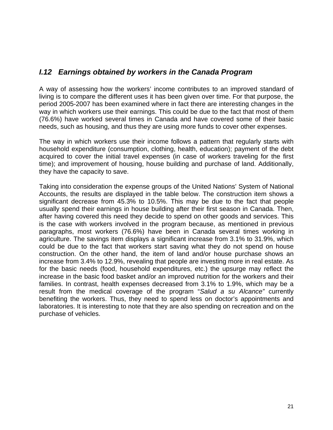## <span id="page-24-0"></span>*I.12 Earnings obtained by workers in the Canada Program*

A way of assessing how the workers' income contributes to an improved standard of living is to compare the different uses it has been given over time. For that purpose, the period 2005-2007 has been examined where in fact there are interesting changes in the way in which workers use their earnings. This could be due to the fact that most of them (76.6%) have worked several times in Canada and have covered some of their basic needs, such as housing, and thus they are using more funds to cover other expenses.

The way in which workers use their income follows a pattern that regularly starts with household expenditure (consumption, clothing, health, education); payment of the debt acquired to cover the initial travel expenses (in case of workers traveling for the first time); and improvement of housing, house building and purchase of land. Additionally, they have the capacity to save.

Taking into consideration the expense groups of the United Nations' System of National Accounts, the results are displayed in the table below. The construction item shows a significant decrease from 45.3% to 10.5%. This may be due to the fact that people usually spend their earnings in house building after their first season in Canada. Then, after having covered this need they decide to spend on other goods and services. This is the case with workers involved in the program because, as mentioned in previous paragraphs, most workers (76.6%) have been in Canada several times working in agriculture. The savings item displays a significant increase from 3.1% to 31.9%, which could be due to the fact that workers start saving what they do not spend on house construction. On the other hand, the item of land and/or house purchase shows an increase from 3.4% to 12.9%, revealing that people are investing more in real estate. As for the basic needs (food, household expenditures, etc.) the upsurge may reflect the increase in the basic food basket and/or an improved nutrition for the workers and their families. In contrast, health expenses decreased from 3.1% to 1.9%, which may be a result from the medical coverage of the program "*Salud a su Alcance"* currently benefiting the workers. Thus, they need to spend less on doctor's appointments and laboratories. It is interesting to note that they are also spending on recreation and on the purchase of vehicles.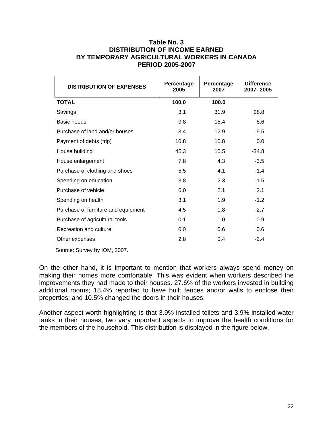#### **Table No. 3 DISTRIBUTION OF INCOME EARNED BY TEMPORARY AGRICULTURAL WORKERS IN CANADA PERIOD 2005-2007**

| <b>DISTRIBUTION OF EXPENSES</b>     | Percentage<br>2005 | Percentage<br>2007 | <b>Difference</b><br>2007-2005 |
|-------------------------------------|--------------------|--------------------|--------------------------------|
| <b>TOTAL</b>                        | 100.0              | 100.0              |                                |
| Savings                             | 3.1                | 31.9               | 28.8                           |
| Basic needs                         | 9.8                | 15.4               | 5.6                            |
| Purchase of land and/or houses      | 3.4                | 12.9               | 9.5                            |
| Payment of debts (trip)             | 10.8               | 10.8               | 0.0                            |
| House building                      | 45.3               | 10.5               | $-34.8$                        |
| House enlargement                   | 7.8                | 4.3                | $-3.5$                         |
| Purchase of clothing and shoes      | 5.5                | 4.1                | $-1.4$                         |
| Spending on education               | 3.8                | 2.3                | $-1.5$                         |
| Purchase of vehicle                 | 0.0                | 2.1                | 2.1                            |
| Spending on health                  | 3.1                | 1.9                | $-1.2$                         |
| Purchase of furniture and equipment | 4.5                | 1.8                | $-2.7$                         |
| Purchase of agricultural tools      | 0.1                | 1.0                | 0.9                            |
| Recreation and culture              | 0.0                | 0.6                | 0.6                            |
| Other expenses                      | 2.8                | 0.4                | $-2.4$                         |

Source: Survey by IOM, 2007.

On the other hand, it is important to mention that workers always spend money on making their homes more comfortable. This was evident when workers described the improvements they had made to their houses. 27.6% of the workers invested in building additional rooms; 18.4% reported to have built fences and/or walls to enclose their properties; and 10.5% changed the doors in their houses.

Another aspect worth highlighting is that 3.9% installed toilets and 3.9% installed water tanks in their houses, two very important aspects to improve the health conditions for the members of the household. This distribution is displayed in the figure below.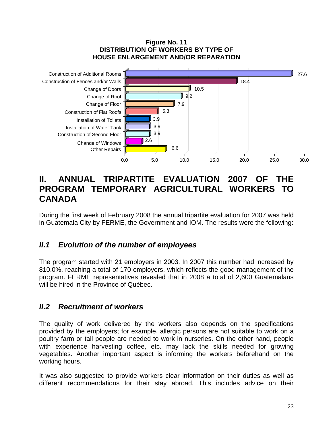#### **Figure No. 11 DISTRIBUTION OF WORKERS BY TYPE OF HOUSE ENLARGEMENT AND/OR REPARATION**

<span id="page-26-0"></span>

## **II. ANNUAL TRIPARTITE EVALUATION 2007 OF THE PROGRAM TEMPORARY AGRICULTURAL WORKERS TO CANADA**

During the first week of February 2008 the annual tripartite evaluation for 2007 was held in Guatemala City by FERME, the Government and IOM. The results were the following:

## *II.1 Evolution of the number of employees*

The program started with 21 employers in 2003. In 2007 this number had increased by 810.0%, reaching a total of 170 employers, which reflects the good management of the program. FERME representatives revealed that in 2008 a total of 2,600 Guatemalans will be hired in the Province of Québec.

## *II.2 Recruitment of workers*

The quality of work delivered by the workers also depends on the specifications provided by the employers; for example, allergic persons are not suitable to work on a poultry farm or tall people are needed to work in nurseries. On the other hand, people with experience harvesting coffee, etc. may lack the skills needed for growing vegetables. Another important aspect is informing the workers beforehand on the working hours.

It was also suggested to provide workers clear information on their duties as well as different recommendations for their stay abroad. This includes advice on their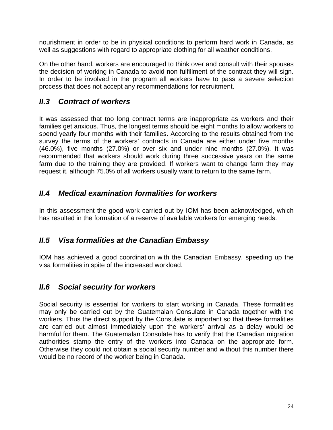<span id="page-27-0"></span>nourishment in order to be in physical conditions to perform hard work in Canada, as well as suggestions with regard to appropriate clothing for all weather conditions.

On the other hand, workers are encouraged to think over and consult with their spouses the decision of working in Canada to avoid non-fulfillment of the contract they will sign. In order to be involved in the program all workers have to pass a severe selection process that does not accept any recommendations for recruitment.

## *II.3 Contract of workers*

It was assessed that too long contract terms are inappropriate as workers and their families get anxious. Thus, the longest terms should be eight months to allow workers to spend yearly four months with their families. According to the results obtained from the survey the terms of the workers' contracts in Canada are either under five months (46.0%), five months (27.0%) or over six and under nine months (27.0%). It was recommended that workers should work during three successive years on the same farm due to the training they are provided. If workers want to change farm they may request it, although 75.0% of all workers usually want to return to the same farm.

## *II.4 Medical examination formalities for workers*

In this assessment the good work carried out by IOM has been acknowledged, which has resulted in the formation of a reserve of available workers for emerging needs.

## *II.5 Visa formalities at the Canadian Embassy*

IOM has achieved a good coordination with the Canadian Embassy, speeding up the visa formalities in spite of the increased workload.

## *II.6 Social security for workers*

Social security is essential for workers to start working in Canada. These formalities may only be carried out by the Guatemalan Consulate in Canada together with the workers. Thus the direct support by the Consulate is important so that these formalities are carried out almost immediately upon the workers' arrival as a delay would be harmful for them. The Guatemalan Consulate has to verify that the Canadian migration authorities stamp the entry of the workers into Canada on the appropriate form. Otherwise they could not obtain a social security number and without this number there would be no record of the worker being in Canada.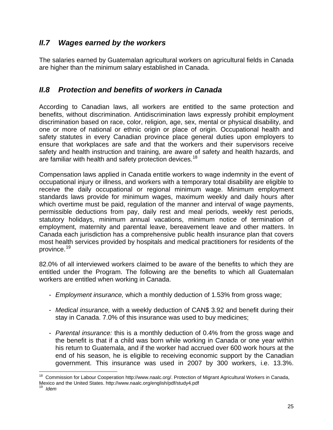## <span id="page-28-0"></span>*II.7 Wages earned by the workers*

The salaries earned by Guatemalan agricultural workers on agricultural fields in Canada are higher than the minimum salary established in Canada.

## *II.8 Protection and benefits of workers in Canada*

According to Canadian laws, all workers are entitled to the same protection and benefits, without discrimination. Antidiscrimination laws expressly prohibit employment discrimination based on race, color, religion, age, sex, mental or physical disability, and one or more of national or ethnic origin or place of origin. Occupational health and safety statutes in every Canadian province place general duties upon employers to ensure that workplaces are safe and that the workers and their supervisors receive safety and health instruction and training, are aware of safety and health hazards, and are familiar with health and safety protection devices.<sup>[18](#page-28-1)</sup>

Compensation laws applied in Canada entitle workers to wage indemnity in the event of occupational injury or illness, and workers with a temporary total disability are eligible to receive the daily occupational or regional minimum wage. Minimum employment standards laws provide for minimum wages, maximum weekly and daily hours after which overtime must be paid, regulation of the manner and interval of wage payments, permissible deductions from pay, daily rest and meal periods, weekly rest periods, statutory holidays, minimum annual vacations, minimum notice of termination of employment, maternity and parental leave, bereavement leave and other matters. In Canada each jurisdiction has a comprehensive public health insurance plan that covers most health services provided by hospitals and medical practitioners for residents of the province.[19](#page-28-2)

82.0% of all interviewed workers claimed to be aware of the benefits to which they are entitled under the Program. The following are the benefits to which all Guatemalan workers are entitled when working in Canada.

- *Employment insurance,* which a monthly deduction of 1.53% from gross wage;
- *Medical insurance,* with a weekly deduction of CAN\$ 3.92 and benefit during their stay in Canada. 7.0% of this insurance was used to buy medicines;
- *Parental insurance:* this is a monthly deduction of 0.4% from the gross wage and the benefit is that if a child was born while working in Canada or one year within his return to Guatemala, and if the worker had accrued over 600 work hours at the end of his season, he is eligible to receiving economic support by the Canadian government. This insurance was used in 2007 by 300 workers, i.e. 13.3%.

<span id="page-28-1"></span> $\overline{a}$ <sup>18</sup> Commission for Labour Cooperation http://www.naalc.org/. Protection of Migrant Agricultural Workers in Canada, Mexico and the United States. http://www.naalc.org/english/pdf/study4.pdf 19 *Idem*

<span id="page-28-2"></span>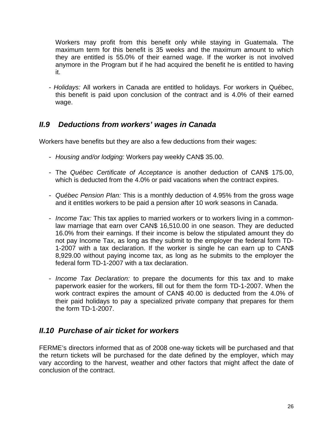<span id="page-29-0"></span>Workers may profit from this benefit only while staying in Guatemala. The maximum term for this benefit is 35 weeks and the maximum amount to which they are entitled is 55.0% of their earned wage. If the worker is not involved anymore in the Program but if he had acquired the benefit he is entitled to having it.

- *Holidays:* All workers in Canada are entitled to holidays. For workers in Québec, this benefit is paid upon conclusion of the contract and is 4.0% of their earned wage.

## *II.9 Deductions from workers' wages in Canada*

Workers have benefits but they are also a few deductions from their wages:

- *Housing and/or lodging:* Workers pay weekly CAN\$ 35.00.
- The *Québec Certificate of Acceptance* is another deduction of CAN\$ 175.00, which is deducted from the 4.0% or paid vacations when the contract expires.
- *Québec Pension Plan:* This is a monthly deduction of 4.95% from the gross wage and it entitles workers to be paid a pension after 10 work seasons in Canada.
- *Income Tax:* This tax applies to married workers or to workers living in a commonlaw marriage that earn over CAN\$ 16,510.00 in one season. They are deducted 16.0% from their earnings. If their income is below the stipulated amount they do not pay Income Tax, as long as they submit to the employer the federal form TD-1-2007 with a tax declaration. If the worker is single he can earn up to CAN\$ 8,929.00 without paying income tax, as long as he submits to the employer the federal form TD-1-2007 with a tax declaration.
- *Income Tax Declaration:* to prepare the documents for this tax and to make paperwork easier for the workers, fill out for them the form TD-1-2007. When the work contract expires the amount of CAN\$ 40.00 is deducted from the 4.0% of their paid holidays to pay a specialized private company that prepares for them the form TD-1-2007.

## *II.10 Purchase of air ticket for workers*

FERME's directors informed that as of 2008 one-way tickets will be purchased and that the return tickets will be purchased for the date defined by the employer, which may vary according to the harvest, weather and other factors that might affect the date of conclusion of the contract.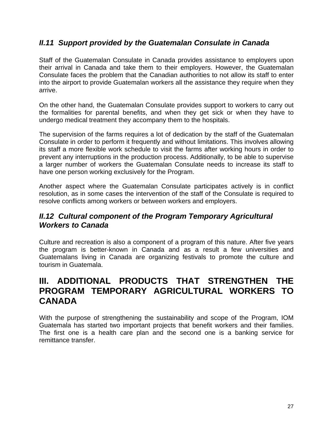## <span id="page-30-0"></span>*II.11 Support provided by the Guatemalan Consulate in Canada*

Staff of the Guatemalan Consulate in Canada provides assistance to employers upon their arrival in Canada and take them to their employers. However, the Guatemalan Consulate faces the problem that the Canadian authorities to not allow its staff to enter into the airport to provide Guatemalan workers all the assistance they require when they arrive.

On the other hand, the Guatemalan Consulate provides support to workers to carry out the formalities for parental benefits, and when they get sick or when they have to undergo medical treatment they accompany them to the hospitals.

The supervision of the farms requires a lot of dedication by the staff of the Guatemalan Consulate in order to perform it frequently and without limitations. This involves allowing its staff a more flexible work schedule to visit the farms after working hours in order to prevent any interruptions in the production process. Additionally, to be able to supervise a larger number of workers the Guatemalan Consulate needs to increase its staff to have one person working exclusively for the Program.

Another aspect where the Guatemalan Consulate participates actively is in conflict resolution, as in some cases the intervention of the staff of the Consulate is required to resolve conflicts among workers or between workers and employers.

## *II.12 Cultural component of the Program Temporary Agricultural Workers to Canada*

Culture and recreation is also a component of a program of this nature. After five years the program is better-known in Canada and as a result a few universities and Guatemalans living in Canada are organizing festivals to promote the culture and tourism in Guatemala.

## **III. ADDITIONAL PRODUCTS THAT STRENGTHEN THE PROGRAM TEMPORARY AGRICULTURAL WORKERS TO CANADA**

With the purpose of strengthening the sustainability and scope of the Program, IOM Guatemala has started two important projects that benefit workers and their families. The first one is a health care plan and the second one is a banking service for remittance transfer.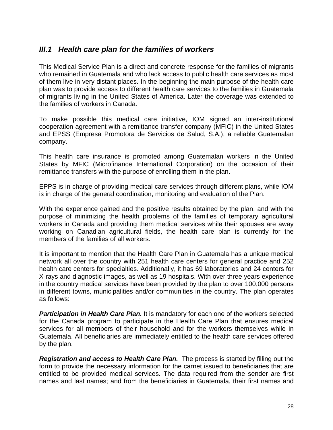## <span id="page-31-0"></span>*III.1 Health care plan for the families of workers*

This Medical Service Plan is a direct and concrete response for the families of migrants who remained in Guatemala and who lack access to public health care services as most of them live in very distant places. In the beginning the main purpose of the health care plan was to provide access to different health care services to the families in Guatemala of migrants living in the United States of America. Later the coverage was extended to the families of workers in Canada.

To make possible this medical care initiative, IOM signed an inter-institutional cooperation agreement with a remittance transfer company (MFIC) in the United States and EPSS (Empresa Promotora de Servicios de Salud, S.A.), a reliable Guatemalan company.

This health care insurance is promoted among Guatemalan workers in the United States by MFIC (Microfinance International Corporation) on the occasion of their remittance transfers with the purpose of enrolling them in the plan.

EPPS is in charge of providing medical care services through different plans, while IOM is in charge of the general coordination, monitoring and evaluation of the Plan.

With the experience gained and the positive results obtained by the plan, and with the purpose of minimizing the health problems of the families of temporary agricultural workers in Canada and providing them medical services while their spouses are away working on Canadian agricultural fields, the health care plan is currently for the members of the families of all workers.

It is important to mention that the Health Care Plan in Guatemala has a unique medical network all over the country with 251 health care centers for general practice and 252 health care centers for specialties. Additionally, it has 69 laboratories and 24 centers for X-rays and diagnostic images, as well as 19 hospitals. With over three years experience in the country medical services have been provided by the plan to over 100,000 persons in different towns, municipalities and/or communities in the country. The plan operates as follows:

**Participation in Health Care Plan.** It is mandatory for each one of the workers selected for the Canada program to participate in the Health Care Plan that ensures medical services for all members of their household and for the workers themselves while in Guatemala. All beneficiaries are immediately entitled to the health care services offered by the plan.

*Registration and access to Health Care Plan.* The process is started by filling out the form to provide the necessary information for the carnet issued to beneficiaries that are entitled to be provided medical services. The data required from the sender are first names and last names; and from the beneficiaries in Guatemala, their first names and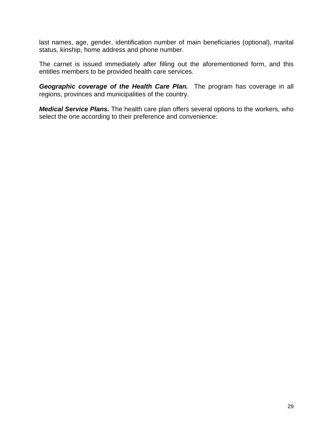last names, age, gender, identification number of main beneficiaries (optional), marital status, kinship, home address and phone number.

The carnet is issued immediately after filling out the aforementioned form, and this entitles members to be provided health care services.

*Geographic coverage of the Health Care Plan.* The program has coverage in all regions, provinces and municipalities of the country.

*Medical Service Plans.* The health care plan offers several options to the workers, who select the one according to their preference and convenience: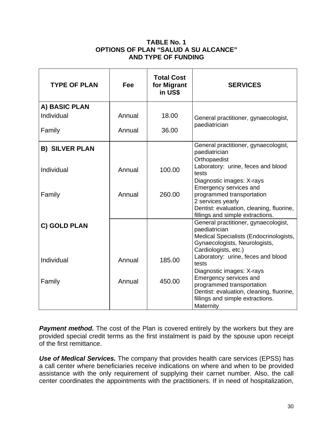#### **TABLE No. 1 OPTIONS OF PLAN "SALUD A SU ALCANCE" AND TYPE OF FUNDING**

| <b>TYPE OF PLAN</b>   | Fee    | <b>Total Cost</b><br>for Migrant<br>in US\$ | <b>SERVICES</b>                                                                                                                                          |
|-----------------------|--------|---------------------------------------------|----------------------------------------------------------------------------------------------------------------------------------------------------------|
| A) BASIC PLAN         |        |                                             |                                                                                                                                                          |
| Individual            | Annual | 18.00                                       | General practitioner, gynaecologist,                                                                                                                     |
| Family                | Annual | 36.00                                       | paediatrician                                                                                                                                            |
| <b>B) SILVER PLAN</b> |        |                                             | General practitioner, gynaecologist,<br>paediatrician<br>Orthopaedist                                                                                    |
| Individual            | Annual | 100.00                                      | Laboratory: urine, feces and blood<br>tests<br>Diagnostic images: X-rays<br>Emergency services and                                                       |
| Family                | Annual | 260.00                                      | programmed transportation<br>2 services yearly<br>Dentist: evaluation, cleaning, fluorine,<br>fillings and simple extractions.                           |
| C) GOLD PLAN          |        |                                             | General practitioner, gynaecologist,<br>paediatrician<br>Medical Specialists (Endocrinologists,<br>Gynaecologists, Neurologists,<br>Cardiologists, etc.) |
| Individual            | Annual | 185.00                                      | Laboratory: urine, feces and blood<br>tests<br>Diagnostic images: X-rays                                                                                 |
| Family                | Annual | 450.00                                      | Emergency services and<br>programmed transportation<br>Dentist: evaluation, cleaning, fluorine,<br>fillings and simple extractions.<br>Maternity         |

**Payment method.** The cost of the Plan is covered entirely by the workers but they are provided special credit terms as the first instalment is paid by the spouse upon receipt of the first remittance.

*Use of Medical Services.* The company that provides health care services (EPSS) has a call center where beneficiaries receive indications on where and when to be provided assistance with the only requirement of supplying their carnet number. Also, the call center coordinates the appointments with the practitioners. If in need of hospitalization,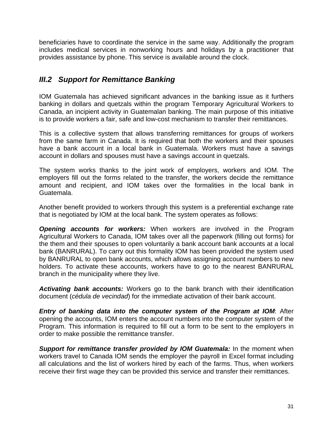<span id="page-34-0"></span>beneficiaries have to coordinate the service in the same way. Additionally the program includes medical services in nonworking hours and holidays by a practitioner that provides assistance by phone. This service is available around the clock.

## *III.2 Support for Remittance Banking*

IOM Guatemala has achieved significant advances in the banking issue as it furthers banking in dollars and quetzals within the program Temporary Agricultural Workers to Canada, an incipient activity in Guatemalan banking. The main purpose of this initiative is to provide workers a fair, safe and low-cost mechanism to transfer their remittances.

This is a collective system that allows transferring remittances for groups of workers from the same farm in Canada. It is required that both the workers and their spouses have a bank account in a local bank in Guatemala. Workers must have a savings account in dollars and spouses must have a savings account in quetzals.

The system works thanks to the joint work of employers, workers and IOM. The employers fill out the forms related to the transfer, the workers decide the remittance amount and recipient, and IOM takes over the formalities in the local bank in Guatemala.

Another benefit provided to workers through this system is a preferential exchange rate that is negotiated by IOM at the local bank. The system operates as follows:

*Opening accounts for workers:* When workers are involved in the Program Agricultural Workers to Canada, IOM takes over all the paperwork (filling out forms) for the them and their spouses to open voluntarily a bank account bank accounts at a local bank (BANRURAL). To carry out this formality IOM has been provided the system used by BANRURAL to open bank accounts, which allows assigning account numbers to new holders. To activate these accounts, workers have to go to the nearest BANRURAL branch in the municipality where they live.

*Activating bank accounts:* Workers go to the bank branch with their identification document (*cédula de vecindad*) for the immediate activation of their bank account.

*Entry of banking data into the computer system of the Program at IOM*: After opening the accounts, IOM enters the account numbers into the computer system of the Program. This information is required to fill out a form to be sent to the employers in order to make possible the remittance transfer.

**Support for remittance transfer provided by IOM Guatemala:** In the moment when workers travel to Canada IOM sends the employer the payroll in Excel format including all calculations and the list of workers hired by each of the farms. Thus, when workers receive their first wage they can be provided this service and transfer their remittances.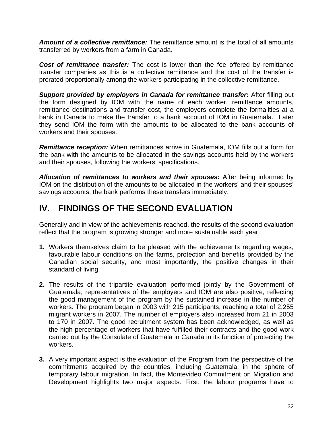<span id="page-35-0"></span>*Amount of a collective remittance:* The remittance amount is the total of all amounts transferred by workers from a farm in Canada.

*Cost of remittance transfer:* The cost is lower than the fee offered by remittance transfer companies as this is a collective remittance and the cost of the transfer is prorated proportionally among the workers participating in the collective remittance.

*Support provided by employers in Canada for remittance transfer:* After filling out the form designed by IOM with the name of each worker, remittance amounts, remittance destinations and transfer cost, the employers complete the formalities at a bank in Canada to make the transfer to a bank account of IOM in Guatemala. Later they send IOM the form with the amounts to be allocated to the bank accounts of workers and their spouses.

*Remittance reception:* When remittances arrive in Guatemala, IOM fills out a form for the bank with the amounts to be allocated in the savings accounts held by the workers and their spouses, following the workers' specifications.

*Allocation of remittances to workers and their spouses:* After being informed by IOM on the distribution of the amounts to be allocated in the workers' and their spouses' savings accounts, the bank performs these transfers immediately.

# **IV. FINDINGS OF THE SECOND EVALUATION**

Generally and in view of the achievements reached, the results of the second evaluation reflect that the program is growing stronger and more sustainable each year.

- **1.** Workers themselves claim to be pleased with the achievements regarding wages, favourable labour conditions on the farms, protection and benefits provided by the Canadian social security, and most importantly, the positive changes in their standard of living.
- **2.** The results of the tripartite evaluation performed jointly by the Government of Guatemala, representatives of the employers and IOM are also positive, reflecting the good management of the program by the sustained increase in the number of workers. The program began in 2003 with 215 participants, reaching a total of 2,255 migrant workers in 2007. The number of employers also increased from 21 in 2003 to 170 in 2007. The good recruitment system has been acknowledged, as well as the high percentage of workers that have fulfilled their contracts and the good work carried out by the Consulate of Guatemala in Canada in its function of protecting the workers.
- **3.** A very important aspect is the evaluation of the Program from the perspective of the commitments acquired by the countries, including Guatemala, in the sphere of temporary labour migration. In fact, the Montevideo Commitment on Migration and Development highlights two major aspects. First, the labour programs have to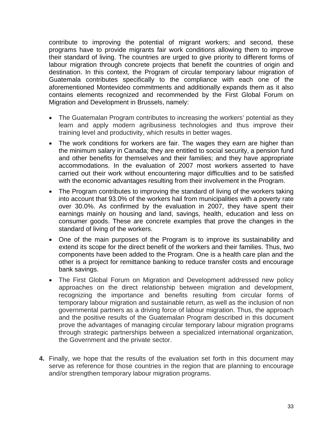contribute to improving the potential of migrant workers; and second, these programs have to provide migrants fair work conditions allowing them to improve their standard of living. The countries are urged to give priority to different forms of labour migration through concrete projects that benefit the countries of origin and destination. In this context, the Program of circular temporary labour migration of Guatemala contributes specifically to the compliance with each one of the aforementioned Montevideo commitments and additionally expands them as it also contains elements recognized and recommended by the First Global Forum on Migration and Development in Brussels, namely:

- The Guatemalan Program contributes to increasing the workers' potential as they learn and apply modern agribusiness technologies and thus improve their training level and productivity, which results in better wages.
- The work conditions for workers are fair. The wages they earn are higher than the minimum salary in Canada; they are entitled to social security, a pension fund and other benefits for themselves and their families; and they have appropriate accommodations. In the evaluation of 2007 most workers asserted to have carried out their work without encountering major difficulties and to be satisfied with the economic advantages resulting from their involvement in the Program.
- The Program contributes to improving the standard of living of the workers taking into account that 93.0% of the workers hail from municipalities with a poverty rate over 30.0%. As confirmed by the evaluation in 2007, they have spent their earnings mainly on housing and land, savings, health, education and less on consumer goods. These are concrete examples that prove the changes in the standard of living of the workers.
- One of the main purposes of the Program is to improve its sustainability and extend its scope for the direct benefit of the workers and their families. Thus, two components have been added to the Program. One is a health care plan and the other is a project for remittance banking to reduce transfer costs and encourage bank savings.
- The First Global Forum on Migration and Development addressed new policy approaches on the direct relationship between migration and development, recognizing the importance and benefits resulting from circular forms of temporary labour migration and sustainable return, as well as the inclusion of non governmental partners as a driving force of labour migration. Thus, the approach and the positive results of the Guatemalan Program described in this document prove the advantages of managing circular temporary labour migration programs through strategic partnerships between a specialized international organization, the Government and the private sector.
- **4.** Finally, we hope that the results of the evaluation set forth in this document may serve as reference for those countries in the region that are planning to encourage and/or strengthen temporary labour migration programs.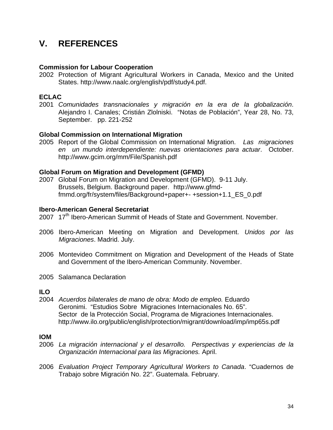# <span id="page-37-0"></span>**V. REFERENCES**

#### **Commission for Labour Cooperation**

2002 Protection of Migrant Agricultural Workers in Canada, Mexico and the United States. http://www.naalc.org/english/pdf/study4.pdf.

#### **ECLAC**

2001 *Comunidades transnacionales y migración en la era de la globalización*. Alejandro I. Canales; Cristián Zlolniski. "Notas de Población", Year 28, No. 73, September. pp. 221-252

#### **Global Commission on International Migration**

2005 Report of the Global Commission on International Migration. *Las migraciones en un mundo interdependiente: nuevas orientaciones para actuar*. October. http://www.gcim.org/mm/File/Spanish.pdf

#### **Global Forum on Migration and Development (GFMD)**

2007 Global Forum on Migration and Development (GFMD). 9-11 July. Brussels, Belgium. Background paper. http://www.gfmdfmmd.org/fr/system/files/Background+paper+- +session+1.1\_ES\_0.pdf

#### **Ibero-American General Secretariat**

- 2007 17<sup>th</sup> Ibero-American Summit of Heads of State and Government. November.
- 2006 Ibero-American Meeting on Migration and Development. *Unidos por las Migraciones*. Madrid. July.
- 2006 Montevideo Commitment on Migration and Development of the Heads of State and Government of the Ibero-American Community. November.
- 2005 Salamanca Declaration

#### **ILO**

2004 *Acuerdos bilaterales de mano de obra: Modo de empleo.* Eduardo Geronimi. "Estudios Sobre Migraciones Internacionales No. 65". Sector de la Protección Social, Programa de Migraciones Internacionales. http://www.ilo.org/public/english/protection/migrant/download/imp/imp65s.pdf

#### **IOM**

- 2006 *La migración internacional y el desarrollo. Perspectivas y experiencias de la Organización Internacional para las Migraciones.* April.
- 2006 *Evaluation Project Temporary Agricultural Workers to Canada*. "Cuadernos de Trabajo sobre Migración No. 22". Guatemala. February.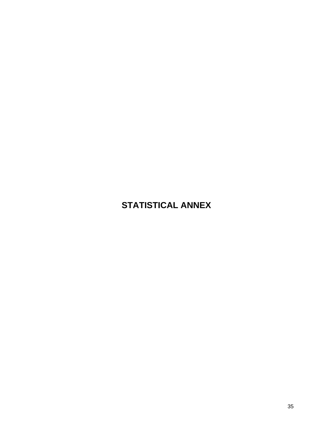# <span id="page-38-0"></span>**STATISTICAL ANNEX**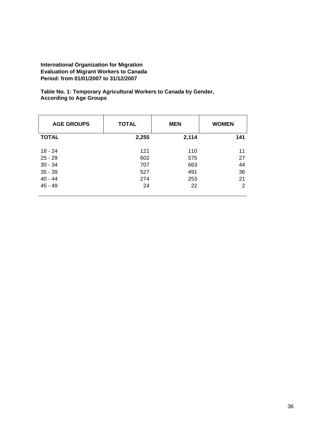**Table No. 1: Temporary Agricultural Workers to Canada by Gender, According to Age Groups** 

| <b>AGE GROUPS</b> | <b>TOTAL</b><br><b>MEN</b> |       | <b>WOMEN</b> |
|-------------------|----------------------------|-------|--------------|
| <b>TOTAL</b>      | 2,255                      | 2,114 | 141          |
| 18 - 24           | 121                        | 110   | 11           |
| $25 - 29$         | 602                        | 575   | 27           |
| $30 - 34$         | 707                        | 663   | 44           |
| $35 - 39$         | 527                        | 491   | 36           |
| $40 - 44$         | 274                        | 253   | 21           |
| $45 - 49$         | 24                         | 22    | 2            |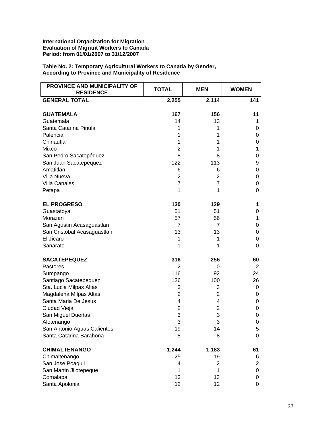| PROVINCE AND MUNICIPALITY OF<br><b>RESIDENCE</b> | <b>TOTAL</b>   | <b>MEN</b>     | <b>WOMEN</b>            |
|--------------------------------------------------|----------------|----------------|-------------------------|
| <b>GENERAL TOTAL</b>                             | 2,255          | 2,114          | 141                     |
| <b>GUATEMALA</b>                                 | 167            | 156            | 11                      |
| Guatemala                                        | 14             | 13             | 1                       |
| Santa Catarina Pinula                            | 1              | 1              | 0                       |
| Palencia                                         | 1              | 1              | 0                       |
| Chinautla                                        | 1              | 1              | 0                       |
| Mixco                                            | $\overline{c}$ | 1              | 1                       |
| San Pedro Sacatepéquez                           | 8              | 8              | 0                       |
| San Juan Sacatepéquez                            | 122            | 113            | 9                       |
| Amatitlán                                        | 6              | 6              | 0                       |
| Villa Nueva                                      | $\overline{2}$ | $\overline{2}$ | 0                       |
| <b>Villa Canales</b>                             | $\overline{7}$ | $\overline{7}$ | 0                       |
| Petapa                                           | 1              | 1              | 0                       |
| <b>EL PROGRESO</b>                               | 130            | 129            | 1                       |
| Guastatoya                                       | 51             | 51             | 0                       |
| Morazan                                          | 57             | 56             | 1                       |
| San Agustin Acasaguastlan                        | 7              | 7              | 0                       |
| San Cristóbal Acasaguastlan                      | 13             | 13             | 0                       |
| El Jícaro                                        | 1              | 1              | 0                       |
| Sanarate                                         | 1              | 1              | 0                       |
| <b>SACATEPEQUEZ</b>                              | 316            | 256            | 60                      |
| Pastores                                         | $\overline{2}$ | 0              | $\overline{2}$          |
| Sumpango                                         | 116            | 92             | 24                      |
| Santiago Sacatepequez                            | 126            | 100            | 26                      |
| Sta. Lucia Milpas Altas                          | 3              | 3              | 0                       |
| Magdalena Milpas Altas                           | $\overline{2}$ | $\overline{2}$ | 0                       |
| Santa Maria De Jesus                             | 4              | 4              | 0                       |
| Ciudad Vieja                                     | $\overline{c}$ | $\overline{2}$ | 0                       |
| San Miguel Dueñas                                | 3              | 3              | 0                       |
| Alotenango                                       | 3              | 3              | $\mathbf 0$             |
| San Antonio Aguas Calientes                      | 19             | 14             | 5                       |
| Santa Catarina Barahona                          | 8              | 8              | 0                       |
| <b>CHIMALTENANGO</b>                             | 1,244          | 1,183          | 61                      |
| Chimaltenango                                    | 25             | 19             | 6                       |
| San Jose Poaquil                                 | 4              | $\overline{2}$ | $\overline{\mathbf{c}}$ |
| San Martin Jilotepeque                           | 1              | 1              | 0                       |
| Comalapa                                         | 13             | 13             | 0                       |
| Santa Apolonia                                   | 12             | 12             | 0                       |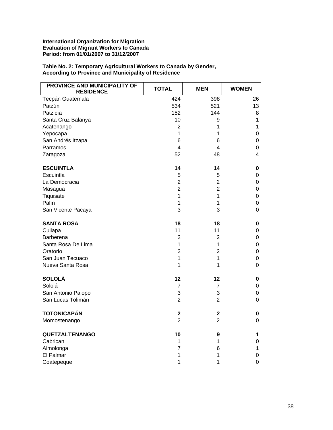| PROVINCE AND MUNICIPALITY OF<br><b>RESIDENCE</b> | <b>TOTAL</b>   | <b>MEN</b>     | <b>WOMEN</b>     |
|--------------------------------------------------|----------------|----------------|------------------|
| Tecpán Guatemala                                 | 424            | 398            | 26               |
| Patzún                                           | 534            | 521            | 13               |
| Patzicía                                         | 152            | 144            | 8                |
| Santa Cruz Balanya                               | 10             | 9              | $\mathbf 1$      |
| Acatenango                                       | $\overline{2}$ | 1              | $\mathbf{1}$     |
| Yepocapa                                         | $\mathbf{1}$   | 1              | $\boldsymbol{0}$ |
| San Andrés Itzapa                                | 6              | 6              | 0                |
| Parramos                                         | 4              | 4              | 0                |
| Zaragoza                                         | 52             | 48             | 4                |
| <b>ESCUINTLA</b>                                 | 14             | 14             | $\pmb{0}$        |
| Escuintla                                        | 5              | 5              | $\mathbf 0$      |
| La Democracia                                    | $\overline{c}$ | $\overline{2}$ | $\pmb{0}$        |
| Masagua                                          | $\overline{2}$ | $\overline{2}$ | $\pmb{0}$        |
| Tiquisate                                        | $\mathbf{1}$   | 1              | $\mathbf 0$      |
| Palín                                            | $\mathbf{1}$   | 1              | $\pmb{0}$        |
| San Vicente Pacaya                               | 3              | 3              | $\overline{0}$   |
| <b>SANTA ROSA</b>                                | 18             | 18             | 0                |
| Cuilapa                                          | 11             | 11             | $\boldsymbol{0}$ |
| Barberena                                        | $\overline{2}$ | $\overline{2}$ | $\pmb{0}$        |
| Santa Rosa De Lima                               | $\mathbf{1}$   | $\mathbf 1$    | 0                |
| Oratorio                                         | $\overline{c}$ | $\overline{2}$ | $\boldsymbol{0}$ |
| San Juan Tecuaco                                 | $\mathbf{1}$   | 1              | 0                |
| Nueva Santa Rosa                                 | 1              | 1              | $\mathbf 0$      |
| <b>SOLOLÁ</b>                                    | 12             | 12             | 0                |
| Sololá                                           | 7              | $\overline{7}$ | $\pmb{0}$        |
| San Antonio Palopó                               | 3              | 3              | 0                |
| San Lucas Tolimán                                | $\overline{2}$ | $\overline{2}$ | $\mathbf 0$      |
| <b>TOTONICAPÁN</b>                               | $\mathbf 2$    | $\mathbf 2$    | 0                |
| Momostenango                                     | $\overline{2}$ | $\overline{2}$ | 0                |
| <b>QUETZALTENANGO</b>                            | 10             | 9              | 1                |
| Cabrican                                         | 1              | 1              | $\mathbf 0$      |
| Almolonga                                        | $\overline{7}$ | 6              | 1                |
| El Palmar                                        | 1              | 1              | $\boldsymbol{0}$ |
| Coatepeque                                       | 1              | 1              | $\mathbf 0$      |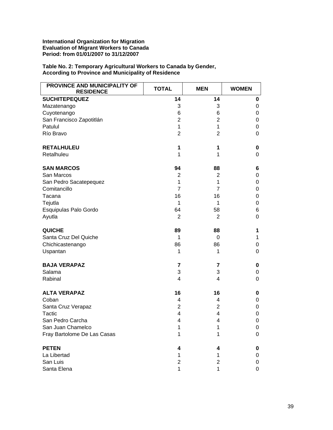| PROVINCE AND MUNICIPALITY OF<br><b>RESIDENCE</b> | <b>TOTAL</b>   | <b>MEN</b>     | <b>WOMEN</b> |
|--------------------------------------------------|----------------|----------------|--------------|
| <b>SUCHITEPEQUEZ</b>                             | 14             | 14             | 0            |
| Mazatenango                                      | 3              | 3              | 0            |
| Cuyotenango                                      | 6              | 6              | 0            |
| San Francisco Zapotitlán                         | $\overline{2}$ | $\overline{2}$ | 0            |
| Patulul                                          | 1              | 1              | 0            |
| Río Bravo                                        | $\overline{2}$ | $\overline{2}$ | 0            |
| <b>RETALHULEU</b>                                | 1              | 1              | 0            |
| Retalhuleu                                       | 1              | 1              | 0            |
| <b>SAN MARCOS</b>                                | 94             | 88             | 6            |
| San Marcos                                       | 2              | $\overline{2}$ | 0            |
| San Pedro Sacatepequez                           | 1              | 1              | 0            |
| Comitancillo                                     | $\overline{7}$ | $\overline{7}$ | 0            |
| Tacana                                           | 16             | 16             | 0            |
| Tejutla                                          | 1              | 1              | 0            |
| Esquipulas Palo Gordo                            | 64             | 58             | 6            |
| Ayutla                                           | $\overline{2}$ | $\overline{2}$ | 0            |
| <b>QUICHE</b>                                    | 89             | 88             | 1            |
| Santa Cruz Del Quiche                            | 1              | 0              | $\mathbf 1$  |
| Chichicastenango                                 | 86             | 86             | 0            |
| Uspantan                                         | 1              | 1              | 0            |
| <b>BAJA VERAPAZ</b>                              | 7              | 7              | 0            |
| Salama                                           | 3              | 3              | 0            |
| Rabinal                                          | 4              | 4              | 0            |
| <b>ALTA VERAPAZ</b>                              | 16             | 16             | 0            |
| Coban                                            | 4              | 4              | 0            |
| Santa Cruz Verapaz                               | 2              | 2              | 0            |
| Tactic                                           | 4              | 4              | 0            |
| San Pedro Carcha                                 | 4              | 4              | 0            |
| San Juan Chamelco                                | 1              | 1              | 0            |
| Fray Bartolome De Las Casas                      | 1              | 1              | 0            |
| <b>PETEN</b>                                     | 4              | 4              | 0            |
| La Libertad                                      | 1              | 1              | 0            |
| San Luis                                         | $\overline{2}$ | 2              | 0            |
| Santa Elena                                      | 1              | 1              | 0            |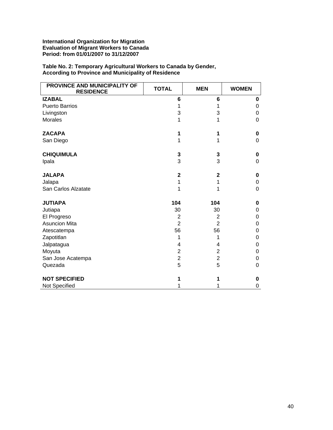| PROVINCE AND MUNICIPALITY OF<br><b>RESIDENCE</b> | <b>TOTAL</b>   | <b>MEN</b>              | <b>WOMEN</b> |
|--------------------------------------------------|----------------|-------------------------|--------------|
| <b>IZABAL</b>                                    | 6              | 6                       | 0            |
| <b>Puerto Barrios</b>                            | 1              | 1                       | 0            |
| Livingston                                       | 3              | 3                       | 0            |
| <b>Morales</b>                                   | 1              | 1                       | 0            |
| <b>ZACAPA</b>                                    | 1              | 1                       | 0            |
| San Diego                                        | 1              | 1                       | 0            |
| <b>CHIQUIMULA</b>                                | 3              | 3                       | 0            |
| Ipala                                            | 3              | 3                       | $\Omega$     |
| <b>JALAPA</b>                                    | $\mathbf 2$    | $\mathbf 2$             | 0            |
| Jalapa                                           | 1              | 1                       | 0            |
| San Carlos Alzatate                              | 1              | 1                       | 0            |
| <b>JUTIAPA</b>                                   | 104            | 104                     | 0            |
| Jutiapa                                          | 30             | 30                      | 0            |
| El Progreso                                      | $\overline{2}$ | 2                       | 0            |
| <b>Asuncion Mita</b>                             | $\overline{2}$ | $\overline{2}$          | 0            |
| Atescatempa                                      | 56             | 56                      | 0            |
| Zapotitlan                                       | 1              | 1                       | 0            |
| Jalpatagua                                       | 4              | 4                       | 0            |
| Moyuta                                           | 2              | $\overline{2}$          | 0            |
| San Jose Acatempa                                | $\overline{c}$ | $\overline{\mathbf{c}}$ | 0            |
| Quezada                                          | 5              | 5                       | 0            |
| <b>NOT SPECIFIED</b>                             |                | 1                       | 0            |
| Not Specified                                    |                | 1                       | 0            |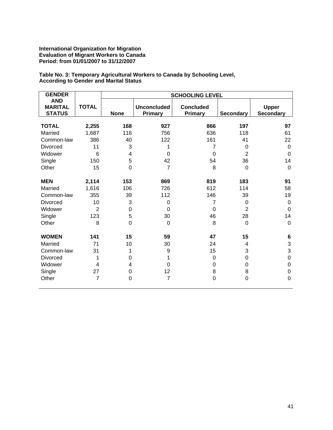**Table No. 3: Temporary Agricultural Workers to Canada by Schooling Level, According to Gender and Marital Status**

| <b>GENDER</b>                                 |                | <b>SCHOOLING LEVEL</b> |                               |                             |                  |                                  |  |  |
|-----------------------------------------------|----------------|------------------------|-------------------------------|-----------------------------|------------------|----------------------------------|--|--|
| <b>AND</b><br><b>MARITAL</b><br><b>STATUS</b> | <b>TOTAL</b>   | <b>None</b>            | <b>Unconcluded</b><br>Primary | <b>Concluded</b><br>Primary | <b>Secondary</b> | <b>Upper</b><br><b>Secondary</b> |  |  |
|                                               |                |                        |                               |                             |                  |                                  |  |  |
| <b>TOTAL</b>                                  | 2,255          | 168                    | 927                           | 866                         | 197              | 97                               |  |  |
| Married                                       | 1,687          | 116                    | 756                           | 636                         | 118              | 61                               |  |  |
| Common-law                                    | 386            | 40                     | 122                           | 161                         | 41               | 22                               |  |  |
| Divorced                                      | 11             | 3                      | 1                             | $\overline{7}$              | 0                | $\mathbf 0$                      |  |  |
| Widower                                       | 6              | 4                      | $\mathbf 0$                   | $\mathbf 0$                 | $\overline{2}$   | $\mathbf 0$                      |  |  |
| Single                                        | 150            | 5                      | 42                            | 54                          | 36               | 14                               |  |  |
| Other                                         | 15             | 0                      | $\overline{7}$                | 8                           | 0                | 0                                |  |  |
| <b>MEN</b>                                    | 2,114          | 153                    | 869                           | 819                         | 183              | 91                               |  |  |
| Married                                       | 1,616          | 106                    | 726                           | 612                         | 114              | 58                               |  |  |
| Common-law                                    | 355            | 39                     | 112                           | 146                         | 39               | 19                               |  |  |
| Divorced                                      | 10             | 3                      | 0                             | 7                           | 0                | $\boldsymbol{0}$                 |  |  |
| Widower                                       | $\overline{2}$ | $\mathbf 0$            | $\overline{0}$                | $\Omega$                    | $\overline{2}$   | $\mathbf 0$                      |  |  |
| Single                                        | 123            | 5                      | 30                            | 46                          | 28               | 14                               |  |  |
| Other                                         | 8              | $\overline{0}$         | $\pmb{0}$                     | 8                           | $\Omega$         | $\mathbf 0$                      |  |  |
| <b>WOMEN</b>                                  | 141            | 15                     | 59                            | 47                          | 15               | $\bf 6$                          |  |  |
| Married                                       | 71             | 10                     | 30                            | 24                          | 4                | $\ensuremath{\mathsf{3}}$        |  |  |
| Common-law                                    | 31             | 1                      | 9                             | 15                          | 3                | 3                                |  |  |
| <b>Divorced</b>                               | 1              | $\boldsymbol{0}$       | 1                             | $\boldsymbol{0}$            | 0                | $\pmb{0}$                        |  |  |
| Widower                                       | 4              | 4                      | 0                             | 0                           | 0                | $\boldsymbol{0}$                 |  |  |
| Single                                        | 27             | $\mathbf 0$            | 12                            | 8                           | 8                | $\pmb{0}$                        |  |  |
| Other                                         | $\overline{7}$ | $\mathbf 0$            | $\overline{7}$                | $\mathbf 0$                 | 0                | $\boldsymbol{0}$                 |  |  |